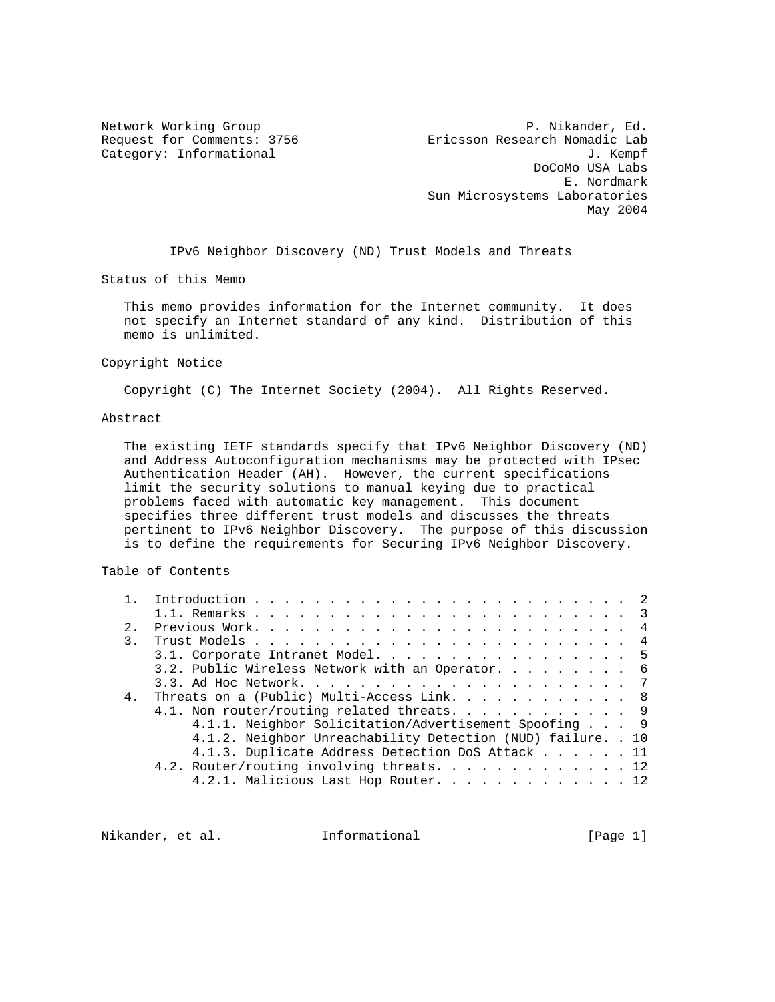Network Working Group<br>Request for Comments: 3756 Bricsson Research Nomadic Lab Ericsson Research Nomadic Lab Category: Informational  $J.$  Kempf DoCoMo USA Labs E. Nordmark Sun Microsystems Laboratories May 2004

IPv6 Neighbor Discovery (ND) Trust Models and Threats

Status of this Memo

 This memo provides information for the Internet community. It does not specify an Internet standard of any kind. Distribution of this memo is unlimited.

#### Copyright Notice

Copyright (C) The Internet Society (2004). All Rights Reserved.

### Abstract

 The existing IETF standards specify that IPv6 Neighbor Discovery (ND) and Address Autoconfiguration mechanisms may be protected with IPsec Authentication Header (AH). However, the current specifications limit the security solutions to manual keying due to practical problems faced with automatic key management. This document specifies three different trust models and discusses the threats pertinent to IPv6 Neighbor Discovery. The purpose of this discussion is to define the requirements for Securing IPv6 Neighbor Discovery.

## Table of Contents

|  | 3.1. Corporate Intranet Model. 5<br>3.2. Public Wireless Network with an Operator. 6<br>Threats on a (Public) Multi-Access Link. 8<br>4.1. Non router/routing related threats. 9<br>4.1.1. Neighbor Solicitation/Advertisement Spoofing 9<br>4.1.2. Neighbor Unreachability Detection (NUD) failure. . 10<br>4.1.3. Duplicate Address Detection DoS Attack 11<br>4.2. Router/routing involving threats. 12<br>4.2.1. Malicious Last Hop Router. 12 |
|--|----------------------------------------------------------------------------------------------------------------------------------------------------------------------------------------------------------------------------------------------------------------------------------------------------------------------------------------------------------------------------------------------------------------------------------------------------|

Nikander, et al. 1nformational 1999 [Page 1]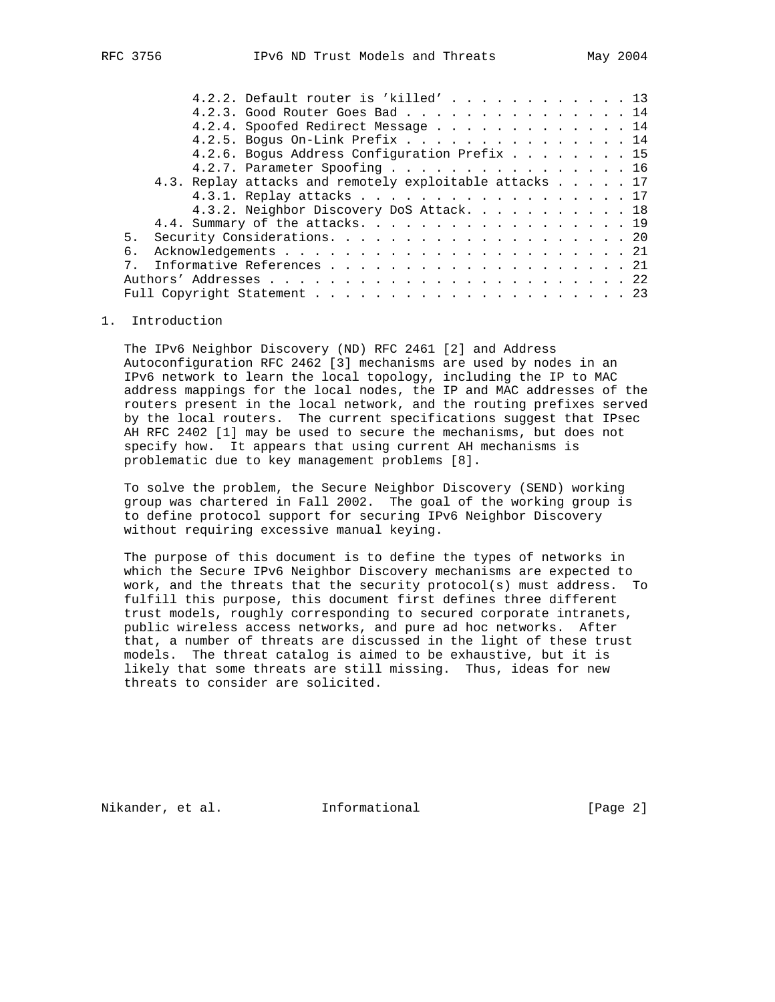| 4.2.2. Default router is 'killed' 13                    |  |  |  |
|---------------------------------------------------------|--|--|--|
| 4.2.3. Good Router Goes Bad 14                          |  |  |  |
| 4.2.4. Spoofed Redirect Message 14                      |  |  |  |
| 4.2.5. Bogus On-Link Prefix 14                          |  |  |  |
| 4.2.6. Bogus Address Configuration Prefix 15            |  |  |  |
| 4.2.7. Parameter Spoofing 16                            |  |  |  |
| 4.3. Replay attacks and remotely exploitable attacks 17 |  |  |  |
| 4.3.1. Replay attacks 17                                |  |  |  |
| 4.3.2. Neighbor Discovery DoS Attack. 18                |  |  |  |
| 4.4. Summary of the attacks. 19                         |  |  |  |
| 5.                                                      |  |  |  |
| б.                                                      |  |  |  |
|                                                         |  |  |  |
|                                                         |  |  |  |
|                                                         |  |  |  |

### 1. Introduction

 The IPv6 Neighbor Discovery (ND) RFC 2461 [2] and Address Autoconfiguration RFC 2462 [3] mechanisms are used by nodes in an IPv6 network to learn the local topology, including the IP to MAC address mappings for the local nodes, the IP and MAC addresses of the routers present in the local network, and the routing prefixes served by the local routers. The current specifications suggest that IPsec AH RFC 2402 [1] may be used to secure the mechanisms, but does not specify how. It appears that using current AH mechanisms is problematic due to key management problems [8].

 To solve the problem, the Secure Neighbor Discovery (SEND) working group was chartered in Fall 2002. The goal of the working group is to define protocol support for securing IPv6 Neighbor Discovery without requiring excessive manual keying.

 The purpose of this document is to define the types of networks in which the Secure IPv6 Neighbor Discovery mechanisms are expected to work, and the threats that the security protocol(s) must address. To fulfill this purpose, this document first defines three different trust models, roughly corresponding to secured corporate intranets, public wireless access networks, and pure ad hoc networks. After that, a number of threats are discussed in the light of these trust models. The threat catalog is aimed to be exhaustive, but it is likely that some threats are still missing. Thus, ideas for new threats to consider are solicited.

Nikander, et al. 1nformational [Page 2]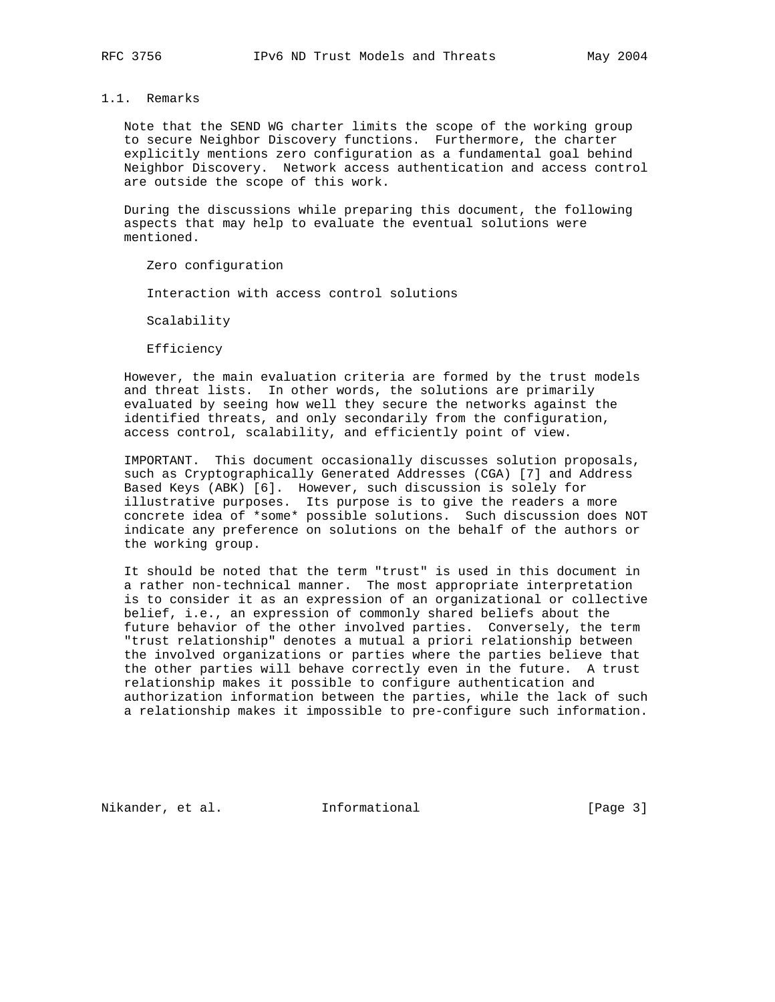### 1.1. Remarks

 Note that the SEND WG charter limits the scope of the working group to secure Neighbor Discovery functions. Furthermore, the charter explicitly mentions zero configuration as a fundamental goal behind Neighbor Discovery. Network access authentication and access control are outside the scope of this work.

 During the discussions while preparing this document, the following aspects that may help to evaluate the eventual solutions were mentioned.

Zero configuration

Interaction with access control solutions

Scalability

Efficiency

 However, the main evaluation criteria are formed by the trust models and threat lists. In other words, the solutions are primarily evaluated by seeing how well they secure the networks against the identified threats, and only secondarily from the configuration, access control, scalability, and efficiently point of view.

 IMPORTANT. This document occasionally discusses solution proposals, such as Cryptographically Generated Addresses (CGA) [7] and Address Based Keys (ABK) [6]. However, such discussion is solely for illustrative purposes. Its purpose is to give the readers a more concrete idea of \*some\* possible solutions. Such discussion does NOT indicate any preference on solutions on the behalf of the authors or the working group.

 It should be noted that the term "trust" is used in this document in a rather non-technical manner. The most appropriate interpretation is to consider it as an expression of an organizational or collective belief, i.e., an expression of commonly shared beliefs about the future behavior of the other involved parties. Conversely, the term "trust relationship" denotes a mutual a priori relationship between the involved organizations or parties where the parties believe that the other parties will behave correctly even in the future. A trust relationship makes it possible to configure authentication and authorization information between the parties, while the lack of such a relationship makes it impossible to pre-configure such information.

Nikander, et al. 1nformational [Page 3]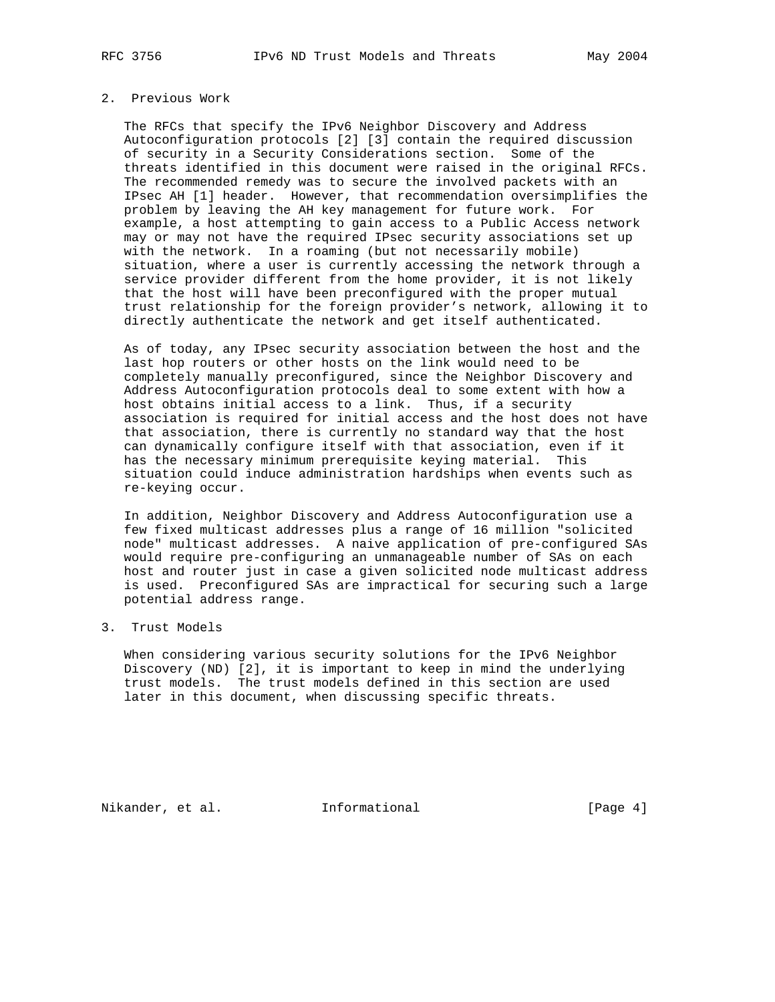# 2. Previous Work

 The RFCs that specify the IPv6 Neighbor Discovery and Address Autoconfiguration protocols [2] [3] contain the required discussion of security in a Security Considerations section. Some of the threats identified in this document were raised in the original RFCs. The recommended remedy was to secure the involved packets with an IPsec AH [1] header. However, that recommendation oversimplifies the problem by leaving the AH key management for future work. For example, a host attempting to gain access to a Public Access network may or may not have the required IPsec security associations set up with the network. In a roaming (but not necessarily mobile) situation, where a user is currently accessing the network through a service provider different from the home provider, it is not likely that the host will have been preconfigured with the proper mutual trust relationship for the foreign provider's network, allowing it to directly authenticate the network and get itself authenticated.

 As of today, any IPsec security association between the host and the last hop routers or other hosts on the link would need to be completely manually preconfigured, since the Neighbor Discovery and Address Autoconfiguration protocols deal to some extent with how a host obtains initial access to a link. Thus, if a security association is required for initial access and the host does not have that association, there is currently no standard way that the host can dynamically configure itself with that association, even if it has the necessary minimum prerequisite keying material. This situation could induce administration hardships when events such as re-keying occur.

 In addition, Neighbor Discovery and Address Autoconfiguration use a few fixed multicast addresses plus a range of 16 million "solicited node" multicast addresses. A naive application of pre-configured SAs would require pre-configuring an unmanageable number of SAs on each host and router just in case a given solicited node multicast address is used. Preconfigured SAs are impractical for securing such a large potential address range.

3. Trust Models

 When considering various security solutions for the IPv6 Neighbor Discovery (ND) [2], it is important to keep in mind the underlying trust models. The trust models defined in this section are used later in this document, when discussing specific threats.

Nikander, et al. 1nformational 1999 (Page 4)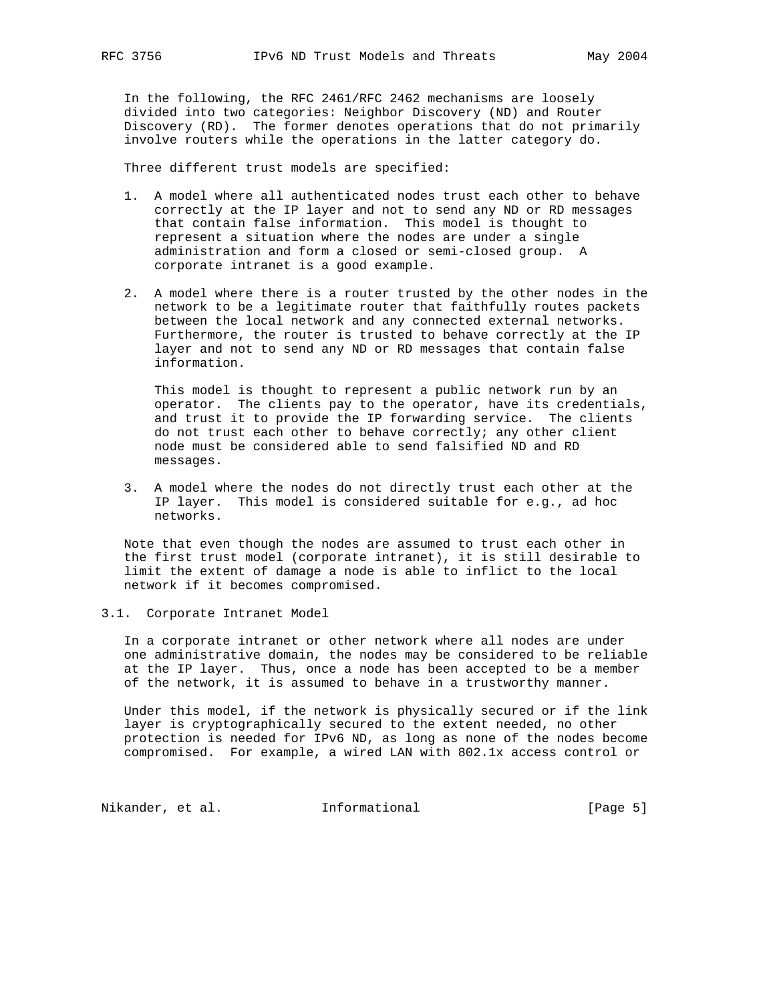In the following, the RFC 2461/RFC 2462 mechanisms are loosely divided into two categories: Neighbor Discovery (ND) and Router Discovery (RD). The former denotes operations that do not primarily involve routers while the operations in the latter category do.

Three different trust models are specified:

- 1. A model where all authenticated nodes trust each other to behave correctly at the IP layer and not to send any ND or RD messages that contain false information. This model is thought to represent a situation where the nodes are under a single administration and form a closed or semi-closed group. A corporate intranet is a good example.
- 2. A model where there is a router trusted by the other nodes in the network to be a legitimate router that faithfully routes packets between the local network and any connected external networks. Furthermore, the router is trusted to behave correctly at the IP layer and not to send any ND or RD messages that contain false information.

 This model is thought to represent a public network run by an operator. The clients pay to the operator, have its credentials, and trust it to provide the IP forwarding service. The clients do not trust each other to behave correctly; any other client node must be considered able to send falsified ND and RD messages.

 3. A model where the nodes do not directly trust each other at the IP layer. This model is considered suitable for e.g., ad hoc networks.

 Note that even though the nodes are assumed to trust each other in the first trust model (corporate intranet), it is still desirable to limit the extent of damage a node is able to inflict to the local network if it becomes compromised.

#### 3.1. Corporate Intranet Model

 In a corporate intranet or other network where all nodes are under one administrative domain, the nodes may be considered to be reliable at the IP layer. Thus, once a node has been accepted to be a member of the network, it is assumed to behave in a trustworthy manner.

 Under this model, if the network is physically secured or if the link layer is cryptographically secured to the extent needed, no other protection is needed for IPv6 ND, as long as none of the nodes become compromised. For example, a wired LAN with 802.1x access control or

Nikander, et al. 1nformational 1999 [Page 5]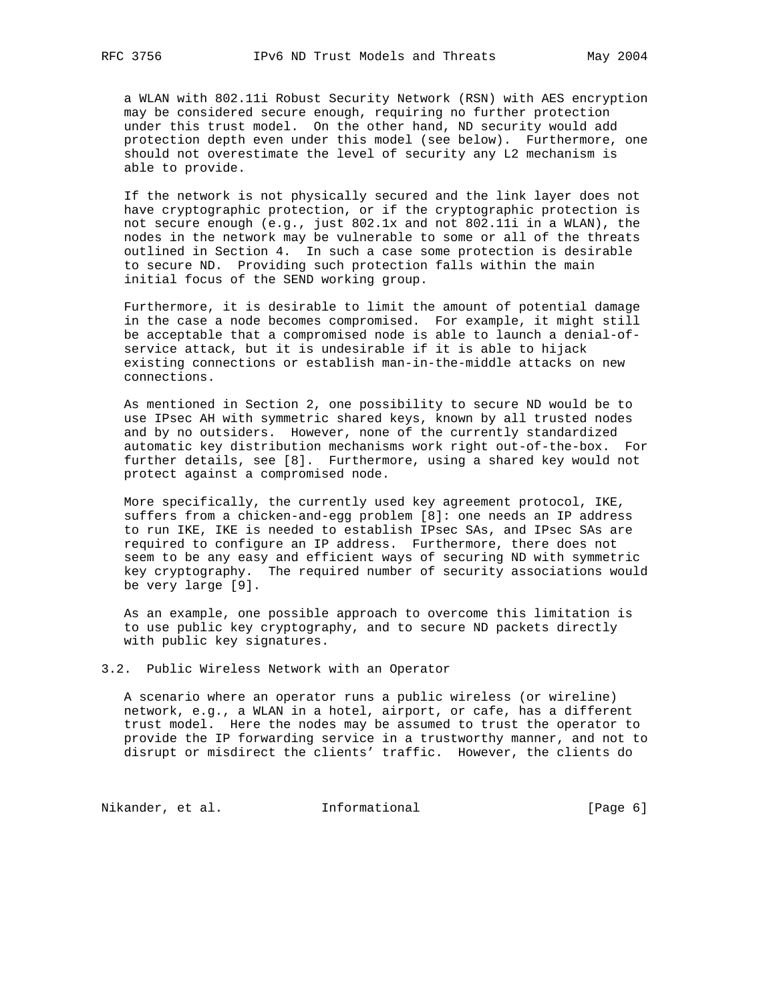a WLAN with 802.11i Robust Security Network (RSN) with AES encryption may be considered secure enough, requiring no further protection under this trust model. On the other hand, ND security would add protection depth even under this model (see below). Furthermore, one should not overestimate the level of security any L2 mechanism is able to provide.

 If the network is not physically secured and the link layer does not have cryptographic protection, or if the cryptographic protection is not secure enough (e.g., just 802.1x and not 802.11i in a WLAN), the nodes in the network may be vulnerable to some or all of the threats outlined in Section 4. In such a case some protection is desirable to secure ND. Providing such protection falls within the main initial focus of the SEND working group.

 Furthermore, it is desirable to limit the amount of potential damage in the case a node becomes compromised. For example, it might still be acceptable that a compromised node is able to launch a denial-of service attack, but it is undesirable if it is able to hijack existing connections or establish man-in-the-middle attacks on new connections.

 As mentioned in Section 2, one possibility to secure ND would be to use IPsec AH with symmetric shared keys, known by all trusted nodes and by no outsiders. However, none of the currently standardized automatic key distribution mechanisms work right out-of-the-box. For further details, see [8]. Furthermore, using a shared key would not protect against a compromised node.

 More specifically, the currently used key agreement protocol, IKE, suffers from a chicken-and-egg problem [8]: one needs an IP address to run IKE, IKE is needed to establish IPsec SAs, and IPsec SAs are required to configure an IP address. Furthermore, there does not seem to be any easy and efficient ways of securing ND with symmetric key cryptography. The required number of security associations would be very large [9].

 As an example, one possible approach to overcome this limitation is to use public key cryptography, and to secure ND packets directly with public key signatures.

3.2. Public Wireless Network with an Operator

 A scenario where an operator runs a public wireless (or wireline) network, e.g., a WLAN in a hotel, airport, or cafe, has a different trust model. Here the nodes may be assumed to trust the operator to provide the IP forwarding service in a trustworthy manner, and not to disrupt or misdirect the clients' traffic. However, the clients do

Nikander, et al. 1nformational 1999 [Page 6]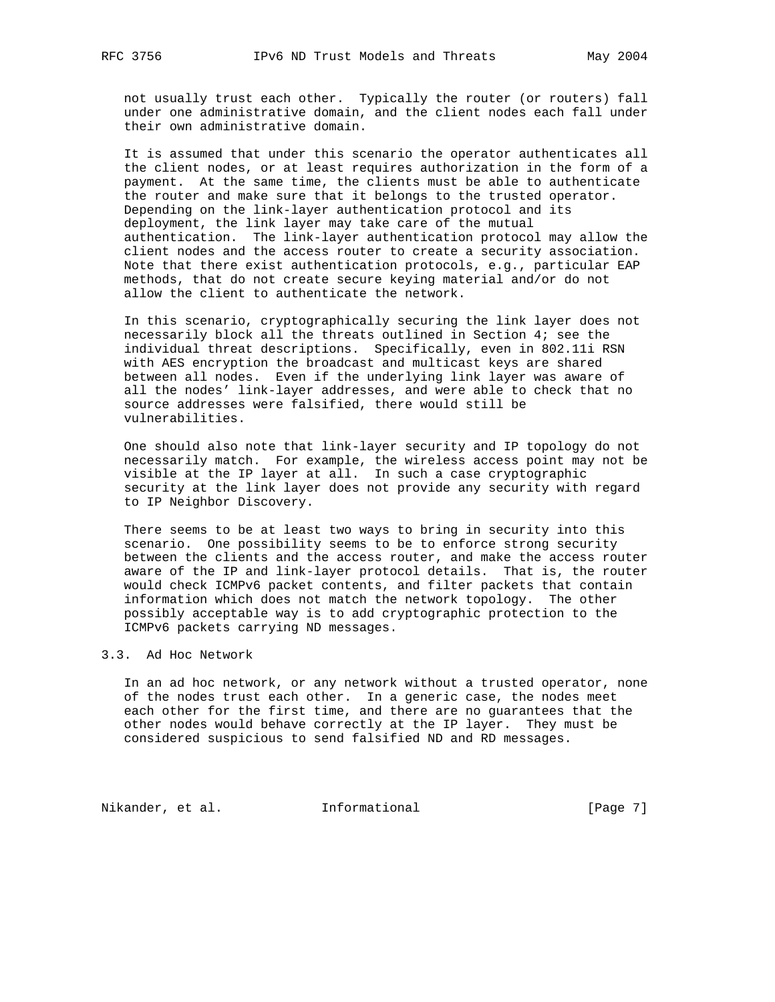not usually trust each other. Typically the router (or routers) fall under one administrative domain, and the client nodes each fall under their own administrative domain.

 It is assumed that under this scenario the operator authenticates all the client nodes, or at least requires authorization in the form of a payment. At the same time, the clients must be able to authenticate the router and make sure that it belongs to the trusted operator. Depending on the link-layer authentication protocol and its deployment, the link layer may take care of the mutual authentication. The link-layer authentication protocol may allow the client nodes and the access router to create a security association. Note that there exist authentication protocols, e.g., particular EAP methods, that do not create secure keying material and/or do not allow the client to authenticate the network.

 In this scenario, cryptographically securing the link layer does not necessarily block all the threats outlined in Section 4; see the individual threat descriptions. Specifically, even in 802.11i RSN with AES encryption the broadcast and multicast keys are shared between all nodes. Even if the underlying link layer was aware of all the nodes' link-layer addresses, and were able to check that no source addresses were falsified, there would still be vulnerabilities.

 One should also note that link-layer security and IP topology do not necessarily match. For example, the wireless access point may not be visible at the IP layer at all. In such a case cryptographic security at the link layer does not provide any security with regard to IP Neighbor Discovery.

 There seems to be at least two ways to bring in security into this scenario. One possibility seems to be to enforce strong security between the clients and the access router, and make the access router aware of the IP and link-layer protocol details. That is, the router would check ICMPv6 packet contents, and filter packets that contain information which does not match the network topology. The other possibly acceptable way is to add cryptographic protection to the ICMPv6 packets carrying ND messages.

### 3.3. Ad Hoc Network

 In an ad hoc network, or any network without a trusted operator, none of the nodes trust each other. In a generic case, the nodes meet each other for the first time, and there are no guarantees that the other nodes would behave correctly at the IP layer. They must be considered suspicious to send falsified ND and RD messages.

Nikander, et al. 1nformational 1999 [Page 7]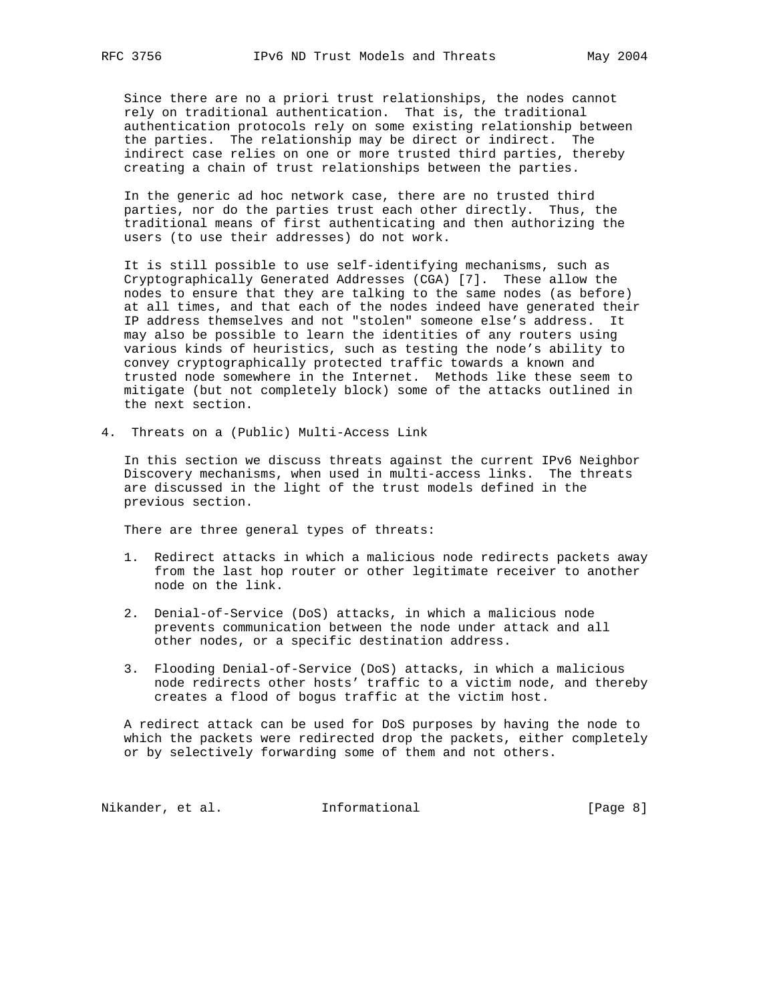Since there are no a priori trust relationships, the nodes cannot rely on traditional authentication. That is, the traditional authentication protocols rely on some existing relationship between the parties. The relationship may be direct or indirect. The indirect case relies on one or more trusted third parties, thereby creating a chain of trust relationships between the parties.

 In the generic ad hoc network case, there are no trusted third parties, nor do the parties trust each other directly. Thus, the traditional means of first authenticating and then authorizing the users (to use their addresses) do not work.

 It is still possible to use self-identifying mechanisms, such as Cryptographically Generated Addresses (CGA) [7]. These allow the nodes to ensure that they are talking to the same nodes (as before) at all times, and that each of the nodes indeed have generated their IP address themselves and not "stolen" someone else's address. It may also be possible to learn the identities of any routers using various kinds of heuristics, such as testing the node's ability to convey cryptographically protected traffic towards a known and trusted node somewhere in the Internet. Methods like these seem to mitigate (but not completely block) some of the attacks outlined in the next section.

4. Threats on a (Public) Multi-Access Link

 In this section we discuss threats against the current IPv6 Neighbor Discovery mechanisms, when used in multi-access links. The threats are discussed in the light of the trust models defined in the previous section.

There are three general types of threats:

- 1. Redirect attacks in which a malicious node redirects packets away from the last hop router or other legitimate receiver to another node on the link.
- 2. Denial-of-Service (DoS) attacks, in which a malicious node prevents communication between the node under attack and all other nodes, or a specific destination address.
- 3. Flooding Denial-of-Service (DoS) attacks, in which a malicious node redirects other hosts' traffic to a victim node, and thereby creates a flood of bogus traffic at the victim host.

 A redirect attack can be used for DoS purposes by having the node to which the packets were redirected drop the packets, either completely or by selectively forwarding some of them and not others.

Nikander, et al. 1nformational 1999 [Page 8]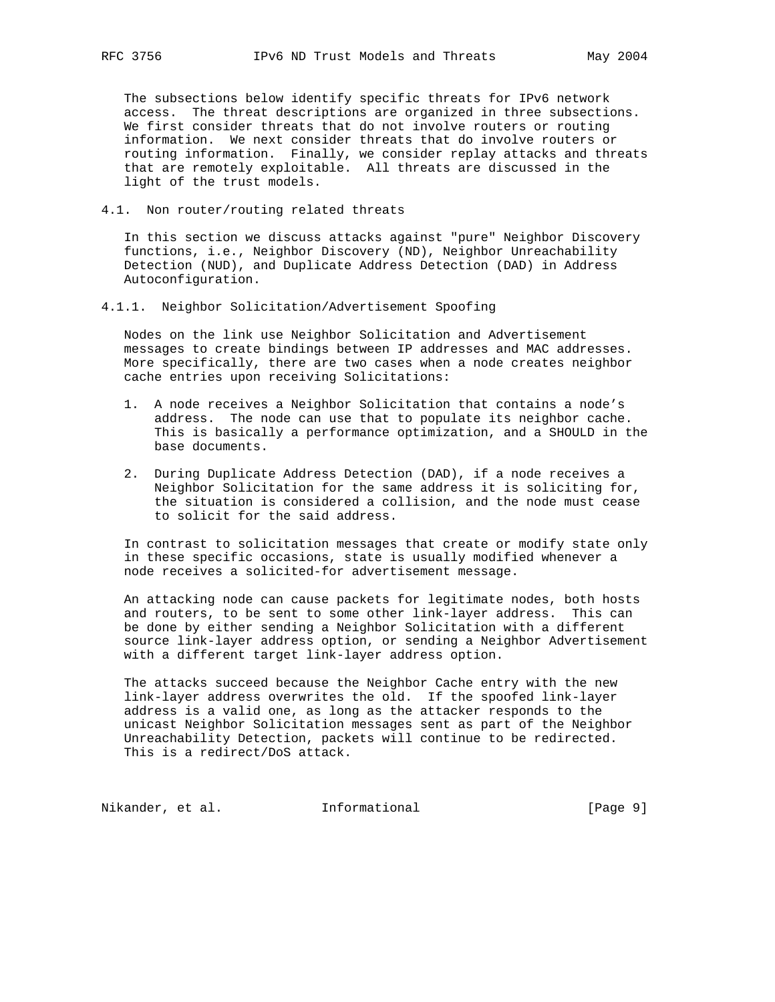The subsections below identify specific threats for IPv6 network access. The threat descriptions are organized in three subsections. We first consider threats that do not involve routers or routing information. We next consider threats that do involve routers or routing information. Finally, we consider replay attacks and threats that are remotely exploitable. All threats are discussed in the light of the trust models.

4.1. Non router/routing related threats

 In this section we discuss attacks against "pure" Neighbor Discovery functions, i.e., Neighbor Discovery (ND), Neighbor Unreachability Detection (NUD), and Duplicate Address Detection (DAD) in Address Autoconfiguration.

4.1.1. Neighbor Solicitation/Advertisement Spoofing

 Nodes on the link use Neighbor Solicitation and Advertisement messages to create bindings between IP addresses and MAC addresses. More specifically, there are two cases when a node creates neighbor cache entries upon receiving Solicitations:

- 1. A node receives a Neighbor Solicitation that contains a node's address. The node can use that to populate its neighbor cache. This is basically a performance optimization, and a SHOULD in the base documents.
- 2. During Duplicate Address Detection (DAD), if a node receives a Neighbor Solicitation for the same address it is soliciting for, the situation is considered a collision, and the node must cease to solicit for the said address.

 In contrast to solicitation messages that create or modify state only in these specific occasions, state is usually modified whenever a node receives a solicited-for advertisement message.

 An attacking node can cause packets for legitimate nodes, both hosts and routers, to be sent to some other link-layer address. This can be done by either sending a Neighbor Solicitation with a different source link-layer address option, or sending a Neighbor Advertisement with a different target link-layer address option.

 The attacks succeed because the Neighbor Cache entry with the new link-layer address overwrites the old. If the spoofed link-layer address is a valid one, as long as the attacker responds to the unicast Neighbor Solicitation messages sent as part of the Neighbor Unreachability Detection, packets will continue to be redirected. This is a redirect/DoS attack.

Nikander, et al. 1nformational 1999 [Page 9]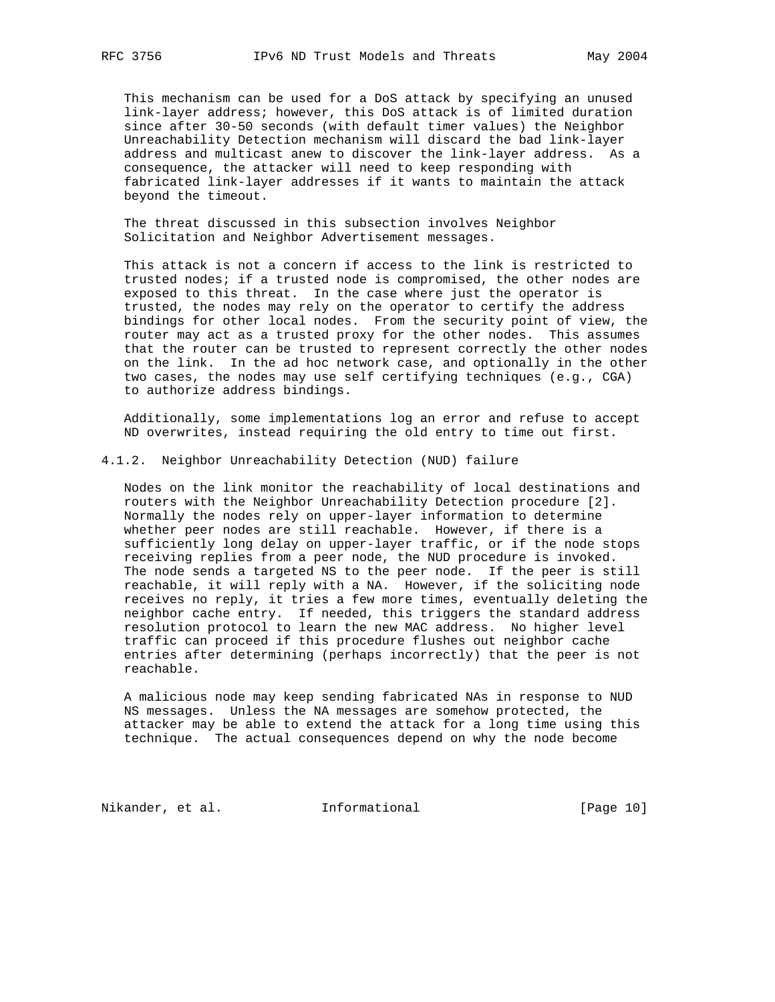This mechanism can be used for a DoS attack by specifying an unused link-layer address; however, this DoS attack is of limited duration since after 30-50 seconds (with default timer values) the Neighbor Unreachability Detection mechanism will discard the bad link-layer address and multicast anew to discover the link-layer address. As a consequence, the attacker will need to keep responding with fabricated link-layer addresses if it wants to maintain the attack beyond the timeout.

 The threat discussed in this subsection involves Neighbor Solicitation and Neighbor Advertisement messages.

 This attack is not a concern if access to the link is restricted to trusted nodes; if a trusted node is compromised, the other nodes are exposed to this threat. In the case where just the operator is trusted, the nodes may rely on the operator to certify the address bindings for other local nodes. From the security point of view, the router may act as a trusted proxy for the other nodes. This assumes that the router can be trusted to represent correctly the other nodes on the link. In the ad hoc network case, and optionally in the other two cases, the nodes may use self certifying techniques (e.g., CGA) to authorize address bindings.

 Additionally, some implementations log an error and refuse to accept ND overwrites, instead requiring the old entry to time out first.

### 4.1.2. Neighbor Unreachability Detection (NUD) failure

 Nodes on the link monitor the reachability of local destinations and routers with the Neighbor Unreachability Detection procedure [2]. Normally the nodes rely on upper-layer information to determine whether peer nodes are still reachable. However, if there is a sufficiently long delay on upper-layer traffic, or if the node stops receiving replies from a peer node, the NUD procedure is invoked. The node sends a targeted NS to the peer node. If the peer is still reachable, it will reply with a NA. However, if the soliciting node receives no reply, it tries a few more times, eventually deleting the neighbor cache entry. If needed, this triggers the standard address resolution protocol to learn the new MAC address. No higher level traffic can proceed if this procedure flushes out neighbor cache entries after determining (perhaps incorrectly) that the peer is not reachable.

 A malicious node may keep sending fabricated NAs in response to NUD NS messages. Unless the NA messages are somehow protected, the attacker may be able to extend the attack for a long time using this technique. The actual consequences depend on why the node become

Nikander, et al. 1nformational 1999 [Page 10]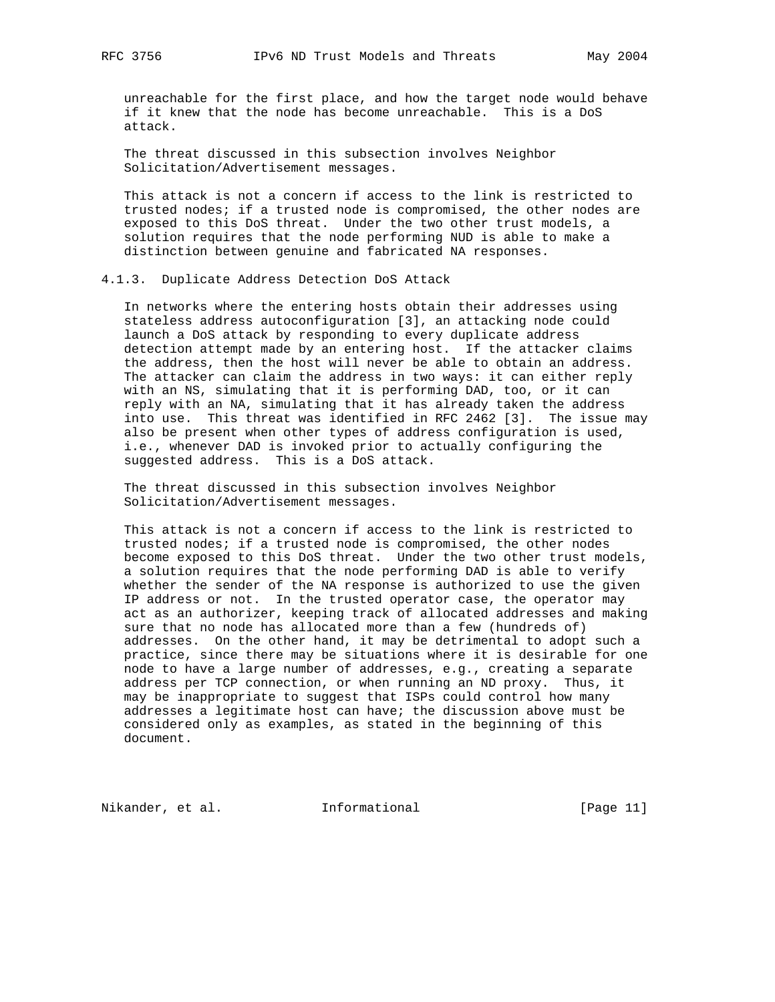unreachable for the first place, and how the target node would behave if it knew that the node has become unreachable. This is a DoS attack.

 The threat discussed in this subsection involves Neighbor Solicitation/Advertisement messages.

 This attack is not a concern if access to the link is restricted to trusted nodes; if a trusted node is compromised, the other nodes are exposed to this DoS threat. Under the two other trust models, a solution requires that the node performing NUD is able to make a distinction between genuine and fabricated NA responses.

#### 4.1.3. Duplicate Address Detection DoS Attack

 In networks where the entering hosts obtain their addresses using stateless address autoconfiguration [3], an attacking node could launch a DoS attack by responding to every duplicate address detection attempt made by an entering host. If the attacker claims the address, then the host will never be able to obtain an address. The attacker can claim the address in two ways: it can either reply with an NS, simulating that it is performing DAD, too, or it can reply with an NA, simulating that it has already taken the address into use. This threat was identified in RFC 2462 [3]. The issue may also be present when other types of address configuration is used, i.e., whenever DAD is invoked prior to actually configuring the suggested address. This is a DoS attack.

 The threat discussed in this subsection involves Neighbor Solicitation/Advertisement messages.

 This attack is not a concern if access to the link is restricted to trusted nodes; if a trusted node is compromised, the other nodes become exposed to this DoS threat. Under the two other trust models, a solution requires that the node performing DAD is able to verify whether the sender of the NA response is authorized to use the given IP address or not. In the trusted operator case, the operator may act as an authorizer, keeping track of allocated addresses and making sure that no node has allocated more than a few (hundreds of) addresses. On the other hand, it may be detrimental to adopt such a practice, since there may be situations where it is desirable for one node to have a large number of addresses, e.g., creating a separate address per TCP connection, or when running an ND proxy. Thus, it may be inappropriate to suggest that ISPs could control how many addresses a legitimate host can have; the discussion above must be considered only as examples, as stated in the beginning of this document.

Nikander, et al. 1nformational 1999 [Page 11]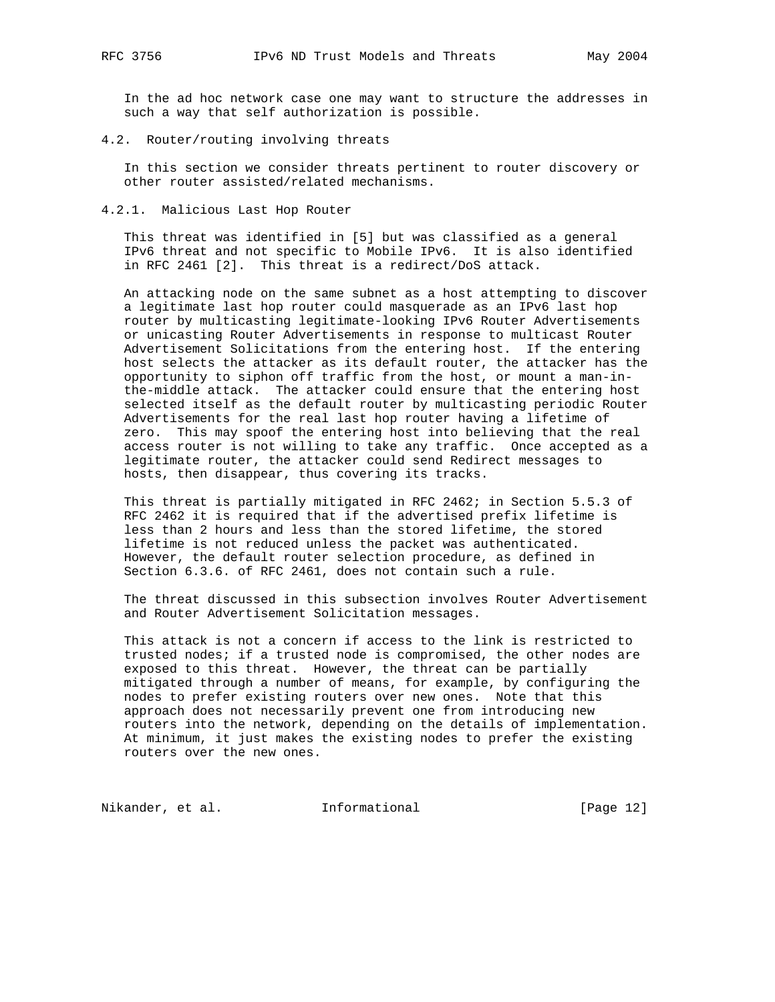In the ad hoc network case one may want to structure the addresses in such a way that self authorization is possible.

4.2. Router/routing involving threats

 In this section we consider threats pertinent to router discovery or other router assisted/related mechanisms.

4.2.1. Malicious Last Hop Router

 This threat was identified in [5] but was classified as a general IPv6 threat and not specific to Mobile IPv6. It is also identified in RFC 2461 [2]. This threat is a redirect/DoS attack.

 An attacking node on the same subnet as a host attempting to discover a legitimate last hop router could masquerade as an IPv6 last hop router by multicasting legitimate-looking IPv6 Router Advertisements or unicasting Router Advertisements in response to multicast Router Advertisement Solicitations from the entering host. If the entering host selects the attacker as its default router, the attacker has the opportunity to siphon off traffic from the host, or mount a man-in the-middle attack. The attacker could ensure that the entering host selected itself as the default router by multicasting periodic Router Advertisements for the real last hop router having a lifetime of zero. This may spoof the entering host into believing that the real access router is not willing to take any traffic. Once accepted as a legitimate router, the attacker could send Redirect messages to hosts, then disappear, thus covering its tracks.

 This threat is partially mitigated in RFC 2462; in Section 5.5.3 of RFC 2462 it is required that if the advertised prefix lifetime is less than 2 hours and less than the stored lifetime, the stored lifetime is not reduced unless the packet was authenticated. However, the default router selection procedure, as defined in Section 6.3.6. of RFC 2461, does not contain such a rule.

 The threat discussed in this subsection involves Router Advertisement and Router Advertisement Solicitation messages.

 This attack is not a concern if access to the link is restricted to trusted nodes; if a trusted node is compromised, the other nodes are exposed to this threat. However, the threat can be partially mitigated through a number of means, for example, by configuring the nodes to prefer existing routers over new ones. Note that this approach does not necessarily prevent one from introducing new routers into the network, depending on the details of implementation. At minimum, it just makes the existing nodes to prefer the existing routers over the new ones.

Nikander, et al. 1nformational 1999 [Page 12]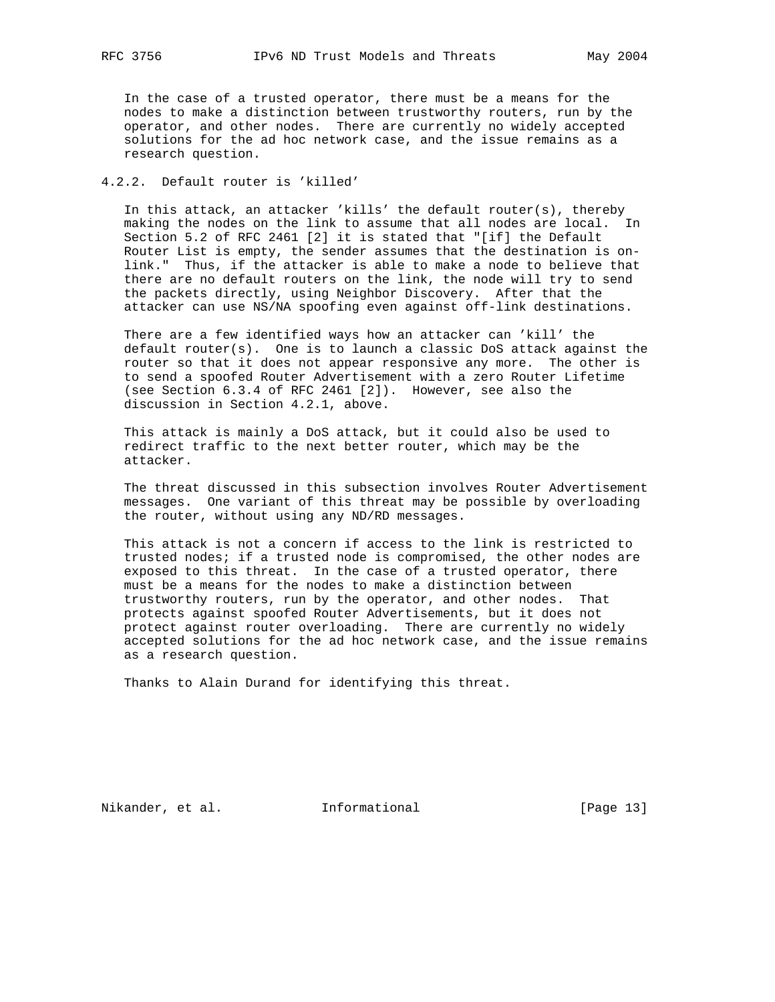In the case of a trusted operator, there must be a means for the nodes to make a distinction between trustworthy routers, run by the operator, and other nodes. There are currently no widely accepted solutions for the ad hoc network case, and the issue remains as a research question.

# 4.2.2. Default router is 'killed'

 In this attack, an attacker 'kills' the default router(s), thereby making the nodes on the link to assume that all nodes are local. In Section 5.2 of RFC 2461 [2] it is stated that "[if] the Default Router List is empty, the sender assumes that the destination is on link." Thus, if the attacker is able to make a node to believe that there are no default routers on the link, the node will try to send the packets directly, using Neighbor Discovery. After that the attacker can use NS/NA spoofing even against off-link destinations.

 There are a few identified ways how an attacker can 'kill' the default router(s). One is to launch a classic DoS attack against the router so that it does not appear responsive any more. The other is to send a spoofed Router Advertisement with a zero Router Lifetime (see Section 6.3.4 of RFC 2461 [2]). However, see also the discussion in Section 4.2.1, above.

 This attack is mainly a DoS attack, but it could also be used to redirect traffic to the next better router, which may be the attacker.

 The threat discussed in this subsection involves Router Advertisement messages. One variant of this threat may be possible by overloading the router, without using any ND/RD messages.

 This attack is not a concern if access to the link is restricted to trusted nodes; if a trusted node is compromised, the other nodes are exposed to this threat. In the case of a trusted operator, there must be a means for the nodes to make a distinction between trustworthy routers, run by the operator, and other nodes. That protects against spoofed Router Advertisements, but it does not protect against router overloading. There are currently no widely accepted solutions for the ad hoc network case, and the issue remains as a research question.

Thanks to Alain Durand for identifying this threat.

Nikander, et al. 1nformational [Page 13]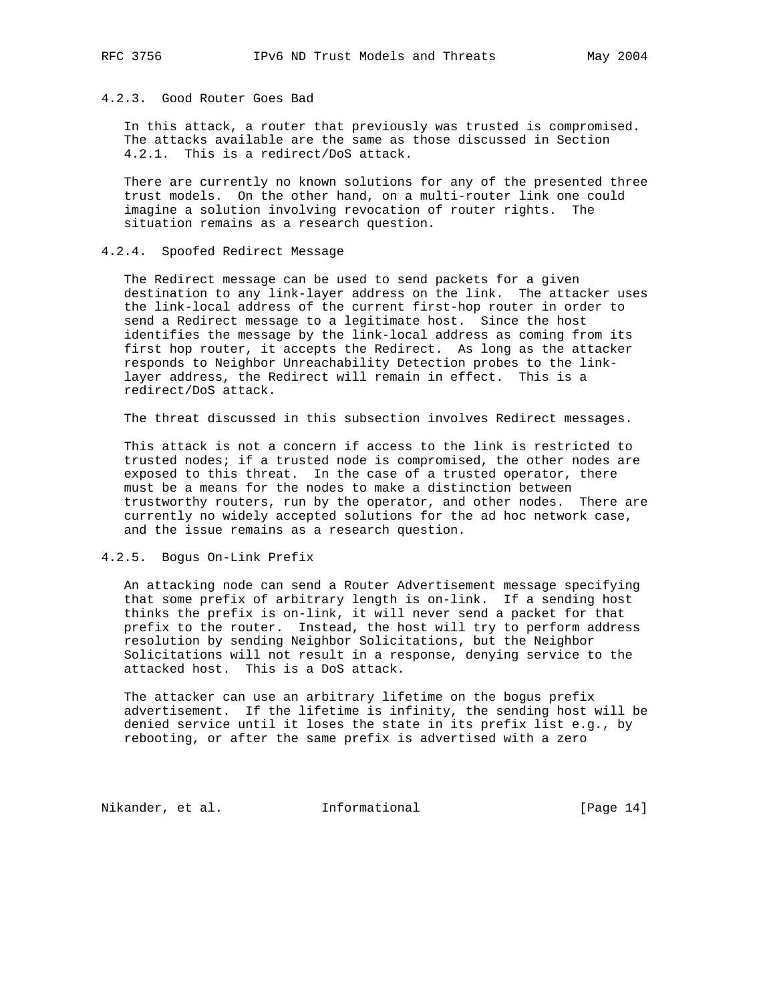# 4.2.3. Good Router Goes Bad

 In this attack, a router that previously was trusted is compromised. The attacks available are the same as those discussed in Section 4.2.1. This is a redirect/DoS attack.

 There are currently no known solutions for any of the presented three trust models. On the other hand, on a multi-router link one could imagine a solution involving revocation of router rights. The situation remains as a research question.

### 4.2.4. Spoofed Redirect Message

 The Redirect message can be used to send packets for a given destination to any link-layer address on the link. The attacker uses the link-local address of the current first-hop router in order to send a Redirect message to a legitimate host. Since the host identifies the message by the link-local address as coming from its first hop router, it accepts the Redirect. As long as the attacker responds to Neighbor Unreachability Detection probes to the link layer address, the Redirect will remain in effect. This is a redirect/DoS attack.

The threat discussed in this subsection involves Redirect messages.

 This attack is not a concern if access to the link is restricted to trusted nodes; if a trusted node is compromised, the other nodes are exposed to this threat. In the case of a trusted operator, there must be a means for the nodes to make a distinction between trustworthy routers, run by the operator, and other nodes. There are currently no widely accepted solutions for the ad hoc network case, and the issue remains as a research question.

# 4.2.5. Bogus On-Link Prefix

 An attacking node can send a Router Advertisement message specifying that some prefix of arbitrary length is on-link. If a sending host thinks the prefix is on-link, it will never send a packet for that prefix to the router. Instead, the host will try to perform address resolution by sending Neighbor Solicitations, but the Neighbor Solicitations will not result in a response, denying service to the attacked host. This is a DoS attack.

 The attacker can use an arbitrary lifetime on the bogus prefix advertisement. If the lifetime is infinity, the sending host will be denied service until it loses the state in its prefix list e.g., by rebooting, or after the same prefix is advertised with a zero

Nikander, et al. 1nformational 1999 [Page 14]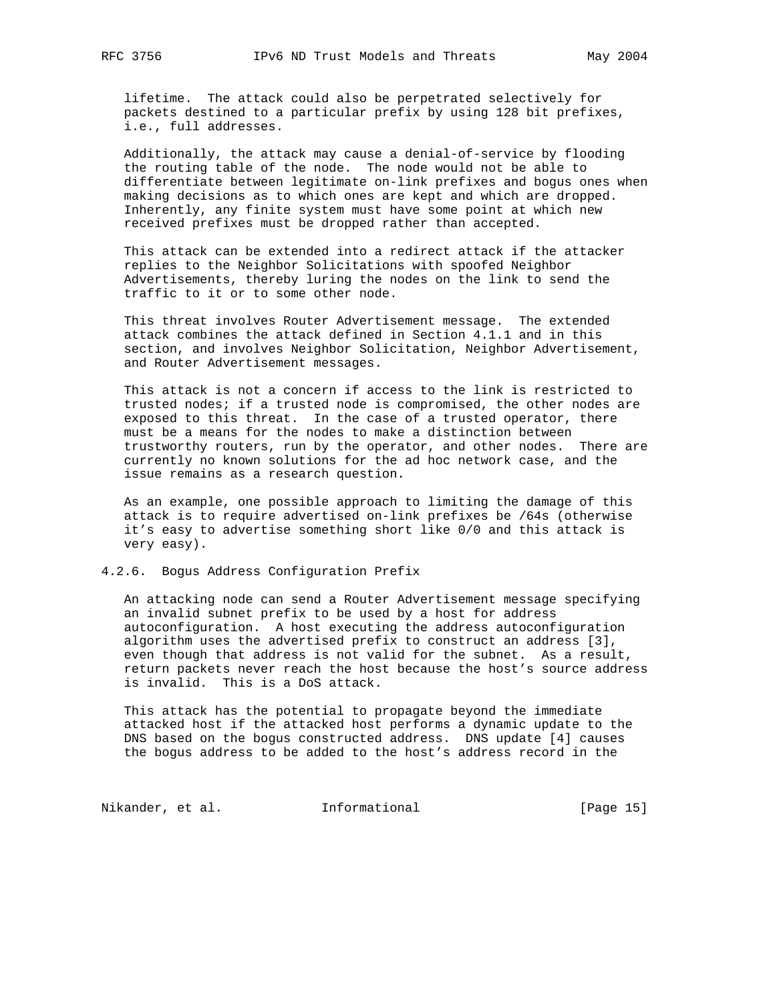lifetime. The attack could also be perpetrated selectively for packets destined to a particular prefix by using 128 bit prefixes, i.e., full addresses.

 Additionally, the attack may cause a denial-of-service by flooding the routing table of the node. The node would not be able to differentiate between legitimate on-link prefixes and bogus ones when making decisions as to which ones are kept and which are dropped. Inherently, any finite system must have some point at which new received prefixes must be dropped rather than accepted.

This attack can be extended into a redirect attack if the attacker replies to the Neighbor Solicitations with spoofed Neighbor Advertisements, thereby luring the nodes on the link to send the traffic to it or to some other node.

 This threat involves Router Advertisement message. The extended attack combines the attack defined in Section 4.1.1 and in this section, and involves Neighbor Solicitation, Neighbor Advertisement, and Router Advertisement messages.

 This attack is not a concern if access to the link is restricted to trusted nodes; if a trusted node is compromised, the other nodes are exposed to this threat. In the case of a trusted operator, there must be a means for the nodes to make a distinction between trustworthy routers, run by the operator, and other nodes. There are currently no known solutions for the ad hoc network case, and the issue remains as a research question.

 As an example, one possible approach to limiting the damage of this attack is to require advertised on-link prefixes be /64s (otherwise it's easy to advertise something short like 0/0 and this attack is very easy).

### 4.2.6. Bogus Address Configuration Prefix

 An attacking node can send a Router Advertisement message specifying an invalid subnet prefix to be used by a host for address autoconfiguration. A host executing the address autoconfiguration algorithm uses the advertised prefix to construct an address [3], even though that address is not valid for the subnet. As a result, return packets never reach the host because the host's source address is invalid. This is a DoS attack.

 This attack has the potential to propagate beyond the immediate attacked host if the attacked host performs a dynamic update to the DNS based on the bogus constructed address. DNS update [4] causes the bogus address to be added to the host's address record in the

Nikander, et al. 1nformational 1999 [Page 15]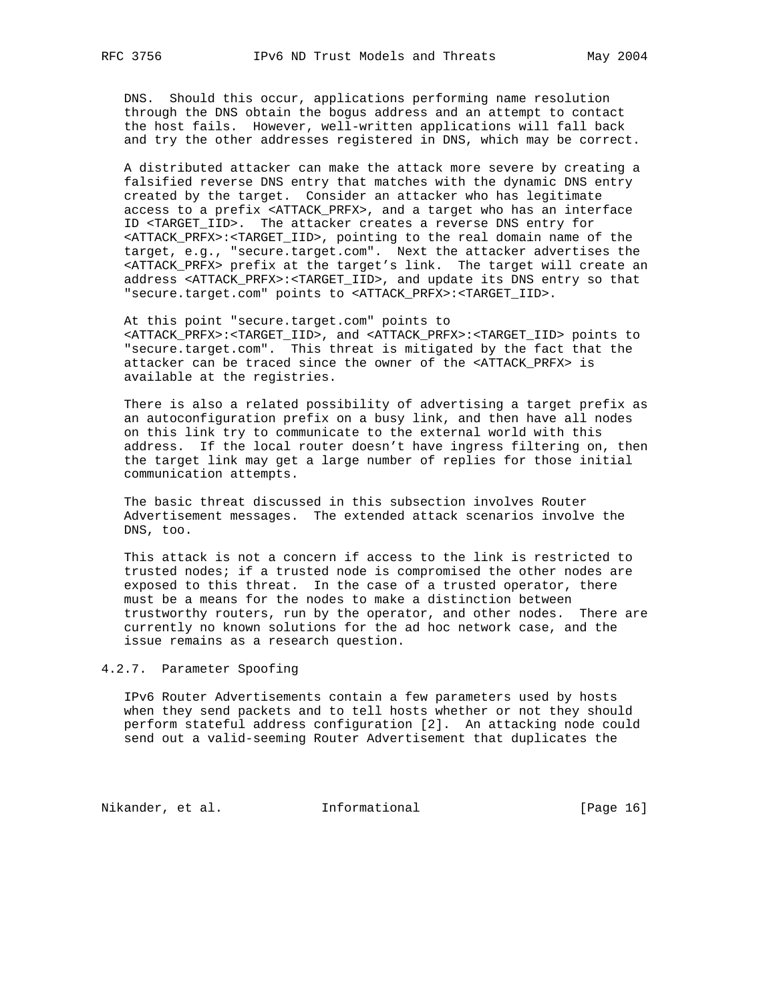DNS. Should this occur, applications performing name resolution through the DNS obtain the bogus address and an attempt to contact the host fails. However, well-written applications will fall back and try the other addresses registered in DNS, which may be correct.

 A distributed attacker can make the attack more severe by creating a falsified reverse DNS entry that matches with the dynamic DNS entry created by the target. Consider an attacker who has legitimate access to a prefix <ATTACK\_PRFX>, and a target who has an interface ID <TARGET IID>. The attacker creates a reverse DNS entry for <ATTACK\_PRFX>:<TARGET\_IID>, pointing to the real domain name of the target, e.g., "secure.target.com". Next the attacker advertises the <ATTACK\_PRFX> prefix at the target's link. The target will create an address <ATTACK\_PRFX>:<TARGET\_IID>, and update its DNS entry so that "secure.target.com" points to <ATTACK\_PRFX>:<TARGET\_IID>.

 At this point "secure.target.com" points to <ATTACK\_PRFX>:<TARGET\_IID>, and <ATTACK\_PRFX>:<TARGET\_IID> points to "secure.target.com". This threat is mitigated by the fact that the attacker can be traced since the owner of the <ATTACK\_PRFX> is available at the registries.

 There is also a related possibility of advertising a target prefix as an autoconfiguration prefix on a busy link, and then have all nodes on this link try to communicate to the external world with this address. If the local router doesn't have ingress filtering on, then the target link may get a large number of replies for those initial communication attempts.

 The basic threat discussed in this subsection involves Router Advertisement messages. The extended attack scenarios involve the DNS, too.

 This attack is not a concern if access to the link is restricted to trusted nodes; if a trusted node is compromised the other nodes are exposed to this threat. In the case of a trusted operator, there must be a means for the nodes to make a distinction between trustworthy routers, run by the operator, and other nodes. There are currently no known solutions for the ad hoc network case, and the issue remains as a research question.

# 4.2.7. Parameter Spoofing

 IPv6 Router Advertisements contain a few parameters used by hosts when they send packets and to tell hosts whether or not they should perform stateful address configuration [2]. An attacking node could send out a valid-seeming Router Advertisement that duplicates the

Nikander, et al. 1nformational 1999 [Page 16]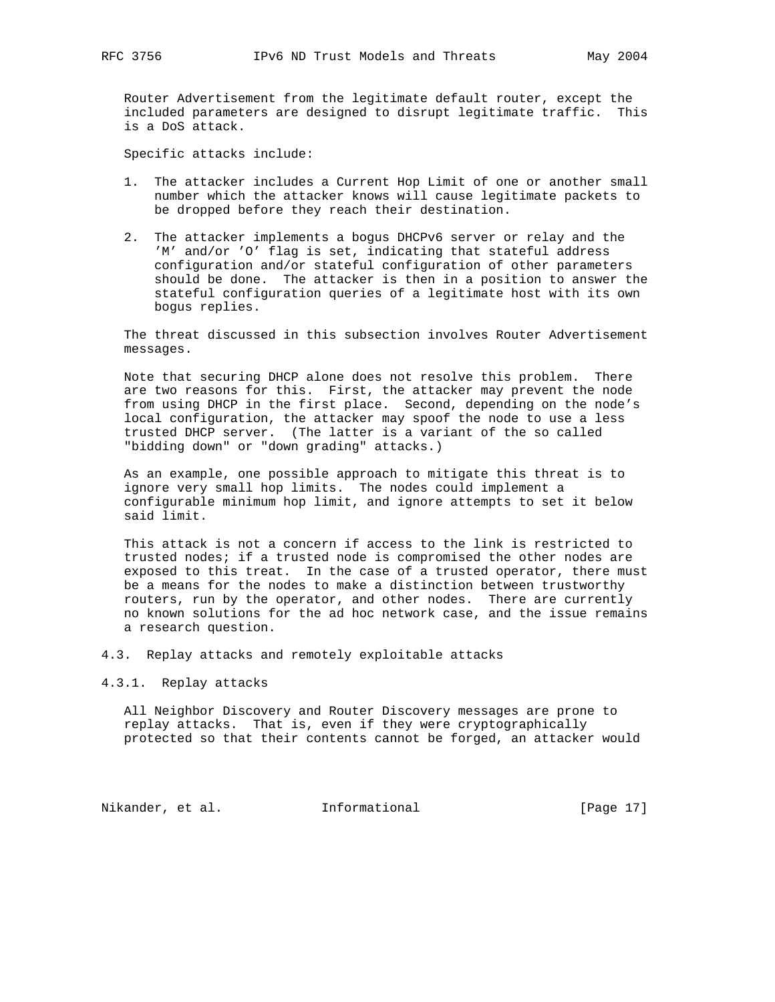Router Advertisement from the legitimate default router, except the included parameters are designed to disrupt legitimate traffic. This is a DoS attack.

Specific attacks include:

- 1. The attacker includes a Current Hop Limit of one or another small number which the attacker knows will cause legitimate packets to be dropped before they reach their destination.
- 2. The attacker implements a bogus DHCPv6 server or relay and the 'M' and/or 'O' flag is set, indicating that stateful address configuration and/or stateful configuration of other parameters should be done. The attacker is then in a position to answer the stateful configuration queries of a legitimate host with its own bogus replies.

 The threat discussed in this subsection involves Router Advertisement messages.

 Note that securing DHCP alone does not resolve this problem. There are two reasons for this. First, the attacker may prevent the node from using DHCP in the first place. Second, depending on the node's local configuration, the attacker may spoof the node to use a less trusted DHCP server. (The latter is a variant of the so called "bidding down" or "down grading" attacks.)

 As an example, one possible approach to mitigate this threat is to ignore very small hop limits. The nodes could implement a configurable minimum hop limit, and ignore attempts to set it below said limit.

 This attack is not a concern if access to the link is restricted to trusted nodes; if a trusted node is compromised the other nodes are exposed to this treat. In the case of a trusted operator, there must be a means for the nodes to make a distinction between trustworthy routers, run by the operator, and other nodes. There are currently no known solutions for the ad hoc network case, and the issue remains a research question.

4.3. Replay attacks and remotely exploitable attacks

4.3.1. Replay attacks

 All Neighbor Discovery and Router Discovery messages are prone to replay attacks. That is, even if they were cryptographically protected so that their contents cannot be forged, an attacker would

Nikander, et al. 1nformational 1999 [Page 17]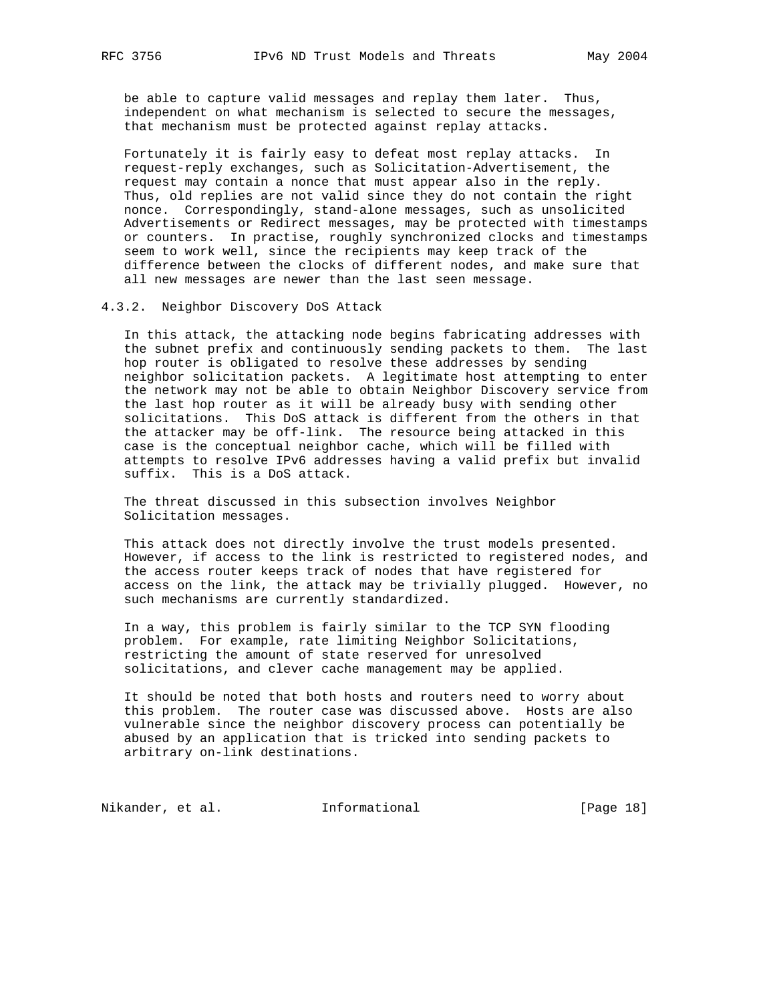be able to capture valid messages and replay them later. Thus, independent on what mechanism is selected to secure the messages, that mechanism must be protected against replay attacks.

 Fortunately it is fairly easy to defeat most replay attacks. In request-reply exchanges, such as Solicitation-Advertisement, the request may contain a nonce that must appear also in the reply. Thus, old replies are not valid since they do not contain the right nonce. Correspondingly, stand-alone messages, such as unsolicited Advertisements or Redirect messages, may be protected with timestamps or counters. In practise, roughly synchronized clocks and timestamps seem to work well, since the recipients may keep track of the difference between the clocks of different nodes, and make sure that all new messages are newer than the last seen message.

4.3.2. Neighbor Discovery DoS Attack

 In this attack, the attacking node begins fabricating addresses with the subnet prefix and continuously sending packets to them. The last hop router is obligated to resolve these addresses by sending neighbor solicitation packets. A legitimate host attempting to enter the network may not be able to obtain Neighbor Discovery service from the last hop router as it will be already busy with sending other solicitations. This DoS attack is different from the others in that the attacker may be off-link. The resource being attacked in this case is the conceptual neighbor cache, which will be filled with attempts to resolve IPv6 addresses having a valid prefix but invalid suffix. This is a DoS attack.

 The threat discussed in this subsection involves Neighbor Solicitation messages.

 This attack does not directly involve the trust models presented. However, if access to the link is restricted to registered nodes, and the access router keeps track of nodes that have registered for access on the link, the attack may be trivially plugged. However, no such mechanisms are currently standardized.

 In a way, this problem is fairly similar to the TCP SYN flooding problem. For example, rate limiting Neighbor Solicitations, restricting the amount of state reserved for unresolved solicitations, and clever cache management may be applied.

 It should be noted that both hosts and routers need to worry about this problem. The router case was discussed above. Hosts are also vulnerable since the neighbor discovery process can potentially be abused by an application that is tricked into sending packets to arbitrary on-link destinations.

Nikander, et al. 1nformational 1999 [Page 18]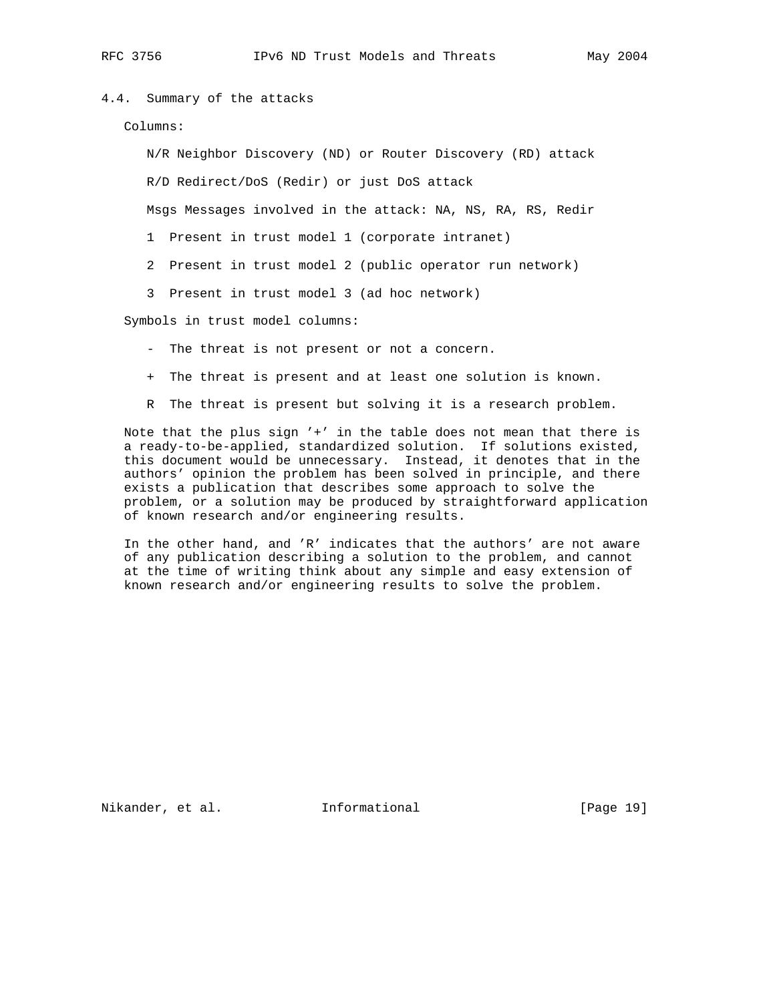# 4.4. Summary of the attacks

#### Columns:

N/R Neighbor Discovery (ND) or Router Discovery (RD) attack

R/D Redirect/DoS (Redir) or just DoS attack

Msgs Messages involved in the attack: NA, NS, RA, RS, Redir

1 Present in trust model 1 (corporate intranet)

2 Present in trust model 2 (public operator run network)

3 Present in trust model 3 (ad hoc network)

Symbols in trust model columns:

- The threat is not present or not a concern.
- + The threat is present and at least one solution is known.
- R The threat is present but solving it is a research problem.

 Note that the plus sign '+' in the table does not mean that there is a ready-to-be-applied, standardized solution. If solutions existed, this document would be unnecessary. Instead, it denotes that in the authors' opinion the problem has been solved in principle, and there exists a publication that describes some approach to solve the problem, or a solution may be produced by straightforward application of known research and/or engineering results.

 In the other hand, and 'R' indicates that the authors' are not aware of any publication describing a solution to the problem, and cannot at the time of writing think about any simple and easy extension of known research and/or engineering results to solve the problem.

Nikander, et al. 1nformational 1917 [Page 19]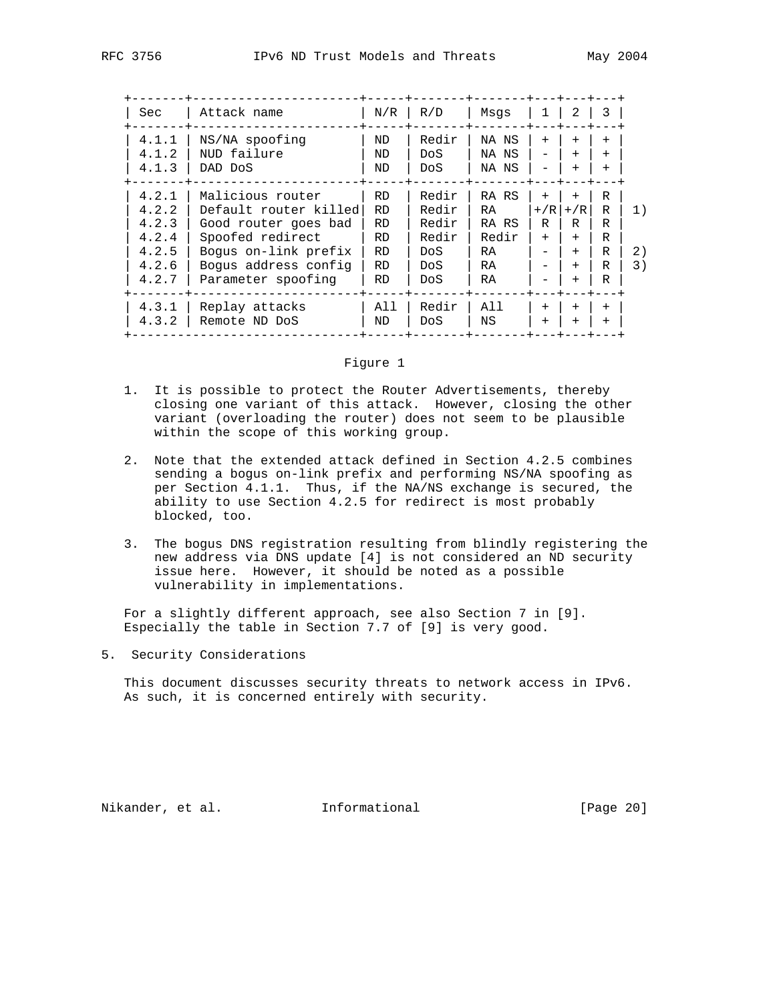| Sec   | Attack name           | N/R       | R/D   | Msqs      |        |           |        |    |
|-------|-----------------------|-----------|-------|-----------|--------|-----------|--------|----|
| 4.1.1 | NS/NA spoofing        | ND        | Redir | NA NS     | $+$    | $^{+}$    | $+$    |    |
| 4.1.2 | NUD failure           | ND        | Do S  | NA NS     |        | $+$       | $+$    |    |
| 4.1.3 | DAD DoS               | ND        | DoS.  | NA NS     |        | $^{+}$    | $+$    |    |
| 4.2.1 | Malicious router      | <b>RD</b> | Redir | RA RS     | $+$    | $+$       | R      |    |
| 4.2.2 | Default router killed | <b>RD</b> | Redir | <b>RA</b> | $+/R$  | $+ / R$   | R      | 1) |
| 4.2.3 | Good router goes bad  | <b>RD</b> | Redir | RA RS     | R      | R         | R      |    |
| 4.2.4 | Spoofed redirect      | <b>RD</b> | Redir | Redir     | $+$    | $+$       | R      |    |
| 4.2.5 | Boqus on-link prefix  | <b>RD</b> | DoS.  | <b>RA</b> |        | $+$       | R      | 2) |
| 4.2.6 | Boqus address confiq  | <b>RD</b> | DoS   | <b>RA</b> |        | $+$       | R      | 3) |
| 4.2.7 | Parameter spoofing    | RD        | DoS   | RA        |        |           | R      |    |
| 4.3.1 | Replay attacks        | All       | Redir | A 1 1     | $+$    | $\ddot{}$ | $+$    |    |
| 4.3.2 | Remote ND DoS         | ND        | DoS   | ΝS        | $^{+}$ |           | $^{+}$ |    |
|       |                       |           |       |           |        |           |        |    |

#### Figure 1

- 1. It is possible to protect the Router Advertisements, thereby closing one variant of this attack. However, closing the other variant (overloading the router) does not seem to be plausible within the scope of this working group.
- 2. Note that the extended attack defined in Section 4.2.5 combines sending a bogus on-link prefix and performing NS/NA spoofing as per Section 4.1.1. Thus, if the NA/NS exchange is secured, the ability to use Section 4.2.5 for redirect is most probably blocked, too.
- 3. The bogus DNS registration resulting from blindly registering the new address via DNS update [4] is not considered an ND security issue here. However, it should be noted as a possible vulnerability in implementations.

 For a slightly different approach, see also Section 7 in [9]. Especially the table in Section 7.7 of [9] is very good.

5. Security Considerations

 This document discusses security threats to network access in IPv6. As such, it is concerned entirely with security.

Nikander, et al. 1nformational [Page 20]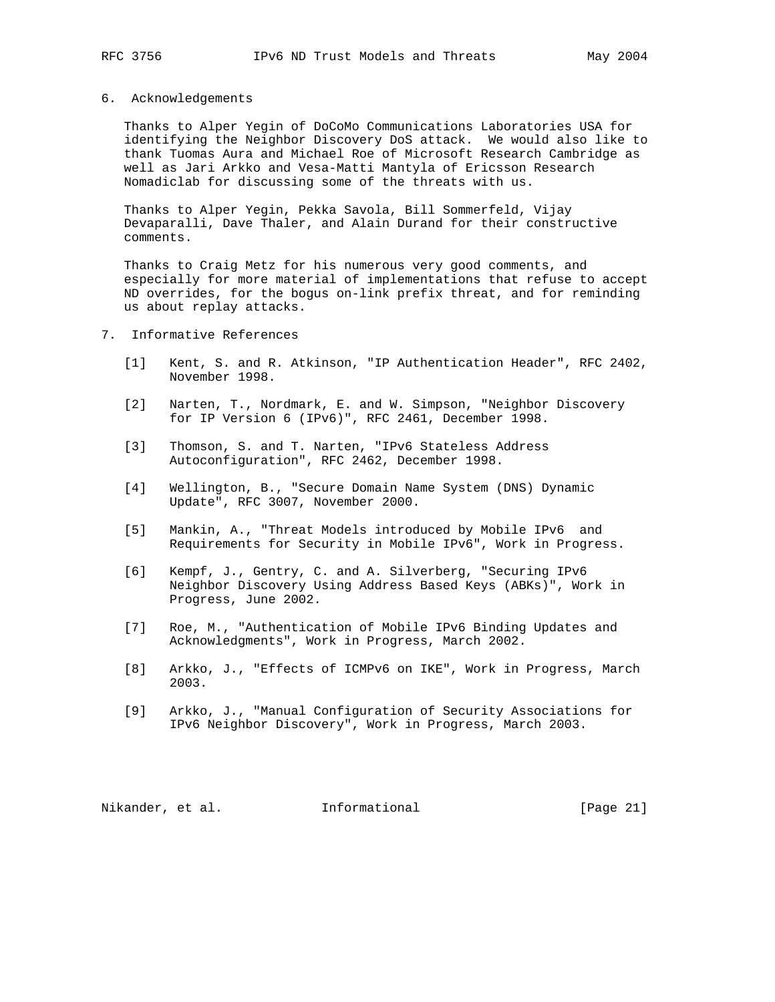#### 6. Acknowledgements

 Thanks to Alper Yegin of DoCoMo Communications Laboratories USA for identifying the Neighbor Discovery DoS attack. We would also like to thank Tuomas Aura and Michael Roe of Microsoft Research Cambridge as well as Jari Arkko and Vesa-Matti Mantyla of Ericsson Research Nomadiclab for discussing some of the threats with us.

 Thanks to Alper Yegin, Pekka Savola, Bill Sommerfeld, Vijay Devaparalli, Dave Thaler, and Alain Durand for their constructive comments.

 Thanks to Craig Metz for his numerous very good comments, and especially for more material of implementations that refuse to accept ND overrides, for the bogus on-link prefix threat, and for reminding us about replay attacks.

- 7. Informative References
	- [1] Kent, S. and R. Atkinson, "IP Authentication Header", RFC 2402, November 1998.
	- [2] Narten, T., Nordmark, E. and W. Simpson, "Neighbor Discovery for IP Version 6 (IPv6)", RFC 2461, December 1998.
	- [3] Thomson, S. and T. Narten, "IPv6 Stateless Address Autoconfiguration", RFC 2462, December 1998.
	- [4] Wellington, B., "Secure Domain Name System (DNS) Dynamic Update", RFC 3007, November 2000.
	- [5] Mankin, A., "Threat Models introduced by Mobile IPv6 and Requirements for Security in Mobile IPv6", Work in Progress.
	- [6] Kempf, J., Gentry, C. and A. Silverberg, "Securing IPv6 Neighbor Discovery Using Address Based Keys (ABKs)", Work in Progress, June 2002.
	- [7] Roe, M., "Authentication of Mobile IPv6 Binding Updates and Acknowledgments", Work in Progress, March 2002.
	- [8] Arkko, J., "Effects of ICMPv6 on IKE", Work in Progress, March 2003.
	- [9] Arkko, J., "Manual Configuration of Security Associations for IPv6 Neighbor Discovery", Work in Progress, March 2003.

Nikander, et al. 1nformational [Page 21]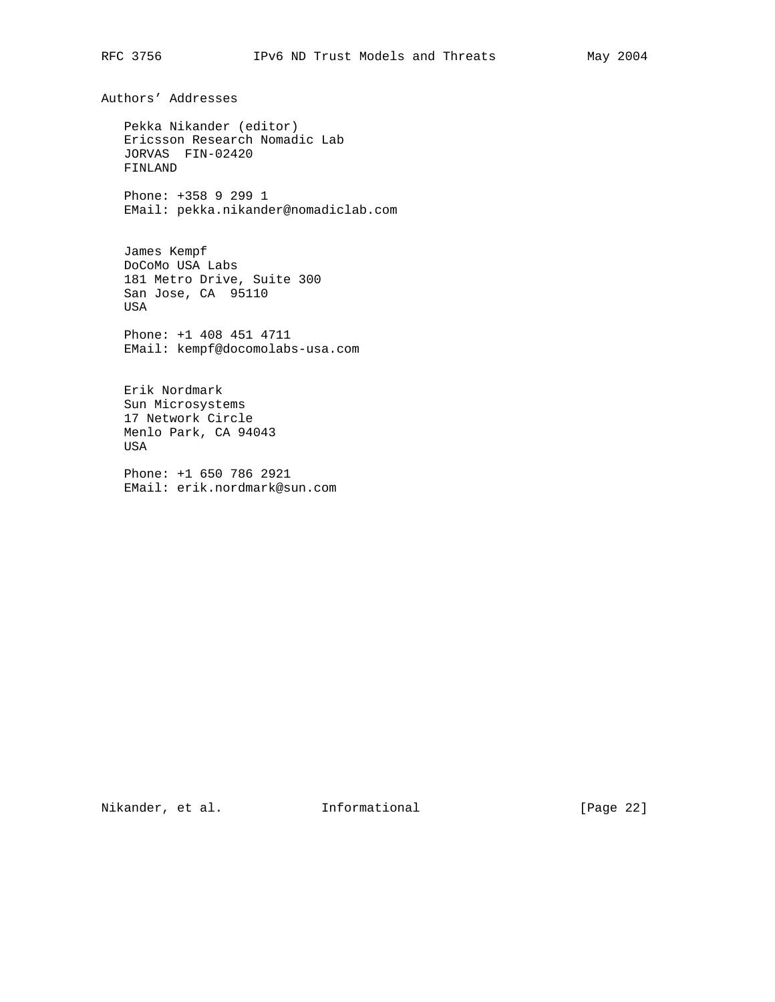Authors' Addresses

 Pekka Nikander (editor) Ericsson Research Nomadic Lab JORVAS FIN-02420 FINLAND

 Phone: +358 9 299 1 EMail: pekka.nikander@nomadiclab.com

 James Kempf DoCoMo USA Labs 181 Metro Drive, Suite 300 San Jose, CA 95110 USA

 Phone: +1 408 451 4711 EMail: kempf@docomolabs-usa.com

 Erik Nordmark Sun Microsystems 17 Network Circle Menlo Park, CA 94043 USA

 Phone: +1 650 786 2921 EMail: erik.nordmark@sun.com

Nikander, et al. 1nformational 1999 [Page 22]